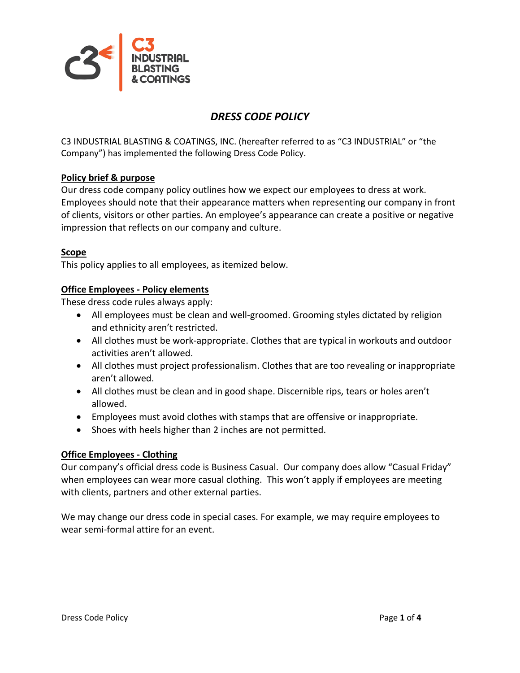

## *DRESS CODE POLICY*

C3 INDUSTRIAL BLASTING & COATINGS, INC. (hereafter referred to as "C3 INDUSTRIAL" or "the Company") has implemented the following Dress Code Policy.

## **Policy brief & purpose**

Our dress code company policy outlines how we expect our employees to dress at work. Employees should note that their appearance matters when representing our company in front of clients, visitors or other parties. An employee's appearance can create a positive or negative impression that reflects on our company and culture.

#### **Scope**

This policy applies to all employees, as itemized below.

#### **Office Employees - Policy elements**

These dress code rules always apply:

- All employees must be clean and well-groomed. Grooming styles dictated by religion and ethnicity aren't restricted.
- All clothes must be work-appropriate. Clothes that are typical in workouts and outdoor activities aren't allowed.
- All clothes must project professionalism. Clothes that are too revealing or inappropriate aren't allowed.
- All clothes must be clean and in good shape. Discernible rips, tears or holes aren't allowed.
- Employees must avoid clothes with stamps that are offensive or inappropriate.
- Shoes with heels higher than 2 inches are not permitted.

#### **Office Employees - Clothing**

Our company's official dress code is Business Casual. Our company does allow "Casual Friday" when employees can wear more casual clothing. This won't apply if employees are meeting with clients, partners and other external parties.

We may change our dress code in special cases. For example, we may require employees to wear semi-formal attire for an event.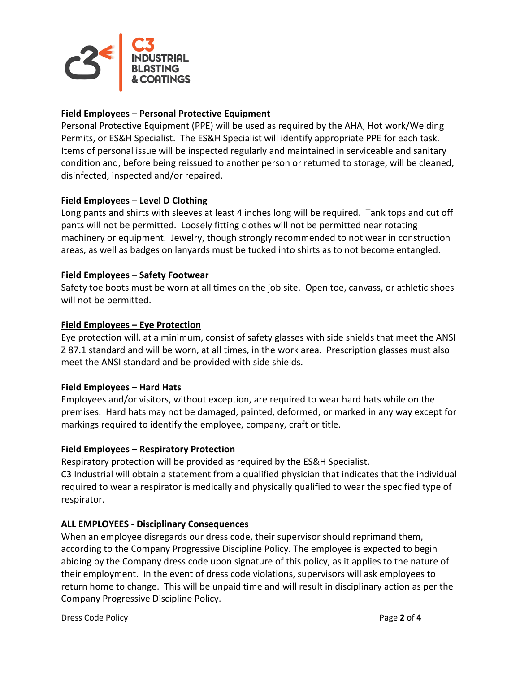

## **Field Employees – Personal Protective Equipment**

Personal Protective Equipment (PPE) will be used as required by the AHA, Hot work/Welding Permits, or ES&H Specialist. The ES&H Specialist will identify appropriate PPE for each task. Items of personal issue will be inspected regularly and maintained in serviceable and sanitary condition and, before being reissued to another person or returned to storage, will be cleaned, disinfected, inspected and/or repaired.

## **Field Employees – Level D Clothing**

Long pants and shirts with sleeves at least 4 inches long will be required. Tank tops and cut off pants will not be permitted. Loosely fitting clothes will not be permitted near rotating machinery or equipment. Jewelry, though strongly recommended to not wear in construction areas, as well as badges on lanyards must be tucked into shirts as to not become entangled.

#### **Field Employees – Safety Footwear**

Safety toe boots must be worn at all times on the job site. Open toe, canvass, or athletic shoes will not be permitted.

## **Field Employees – Eye Protection**

Eye protection will, at a minimum, consist of safety glasses with side shields that meet the ANSI Z 87.1 standard and will be worn, at all times, in the work area. Prescription glasses must also meet the ANSI standard and be provided with side shields.

#### **Field Employees – Hard Hats**

Employees and/or visitors, without exception, are required to wear hard hats while on the premises. Hard hats may not be damaged, painted, deformed, or marked in any way except for markings required to identify the employee, company, craft or title.

#### **Field Employees – Respiratory Protection**

Respiratory protection will be provided as required by the ES&H Specialist. C3 Industrial will obtain a statement from a qualified physician that indicates that the individual required to wear a respirator is medically and physically qualified to wear the specified type of respirator.

#### **ALL EMPLOYEES - Disciplinary Consequences**

When an employee disregards our dress code, their supervisor should reprimand them, according to the Company Progressive Discipline Policy. The employee is expected to begin abiding by the Company dress code upon signature of this policy, as it applies to the nature of their employment. In the event of dress code violations, supervisors will ask employees to return home to change. This will be unpaid time and will result in disciplinary action as per the Company Progressive Discipline Policy.

Dress Code Policy Page **2** of **4**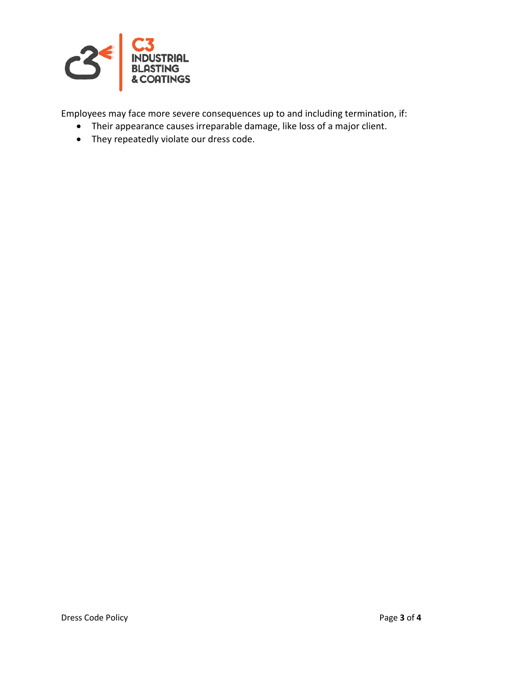

Employees may face more severe consequences up to and including termination, if:

- Their appearance causes irreparable damage, like loss of a major client.
- They repeatedly violate our dress code.